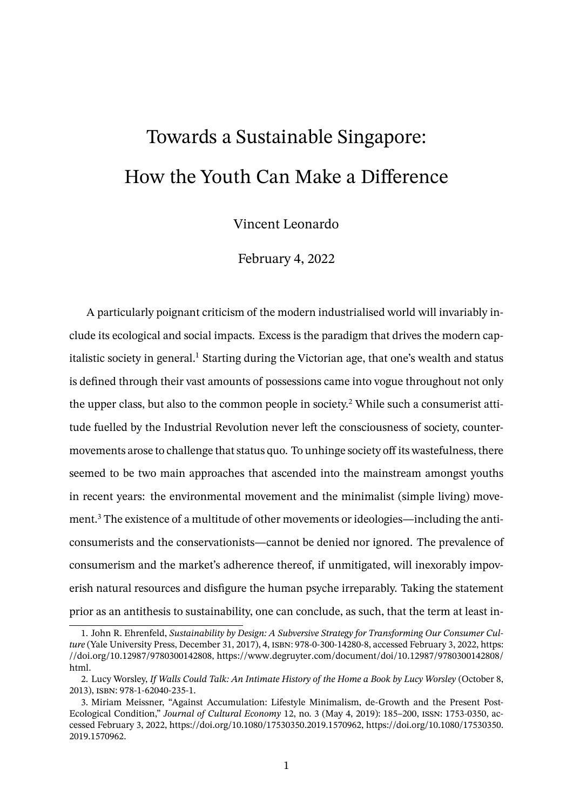## Towards a Sustainable Singapore: How the Youth Can Make a Difference

Vincent Leonardo

February 4, 2022

A particularly poignant criticism of the modern industrialised world will invariably include its ecological and social impacts. Excess is the paradigm that drives the modern capitalistic society in general.<sup>1</sup> Starting during the Victorian age, that one's wealth and status is defined through their vast amounts of possessions came into vogue throughout not only the upper class, but also to the common people in society.<sup>2</sup> While such a consumerist attitude fuelled by the Industrial Revolution never left the consciousness of society, countermovements arose to challenge that status quo. To unhinge society off its wastefulness, there seemed to be two main approaches that ascended into the mainstream amongst youths in recent years: the environmental movement and the minimalist (simple living) movement.<sup>3</sup> The existence of a multitude of other movements or ideologies—including the anticonsumerists and the conservationists—cannot be denied nor ignored. The prevalence of consumerism and the market's adherence thereof, if unmitigated, will inexorably impoverish natural resources and disfigure the human psyche irreparably. Taking the statement prior as an antithesis to sustainability, one can conclude, as such, that the term at least in-

<sup>1.</sup> John R. Ehrenfeld, *Sustainability by Design: A Subversive Strategy for Transforming Our Consumer Culture* (Yale University Press, December 31, 2017), 4, isbn: 978-0-300-14280-8, accessed February 3, 2022, https: //doi.org/10.12987/9780300142808, https://www.degruyter.com/document/doi/10.12987/9780300142808/ html.

<sup>2.</sup> Lucy Worsley, *If Walls Could Talk: An Intimate History of the Home a Book by Lucy Worsley* (October 8, 2013), isbn: 978-1-62040-235-1.

<sup>3.</sup> Miriam Meissner, "Against Accumulation: Lifestyle Minimalism, de-Growth and the Present Post-Ecological Condition," *Journal of Cultural Economy* 12, no. 3 (May 4, 2019): 185–200, issn: 1753-0350, accessed February 3, 2022, https://doi.org/10.1080/17530350.2019.1570962, https://doi.org/10.1080/17530350. 2019.1570962.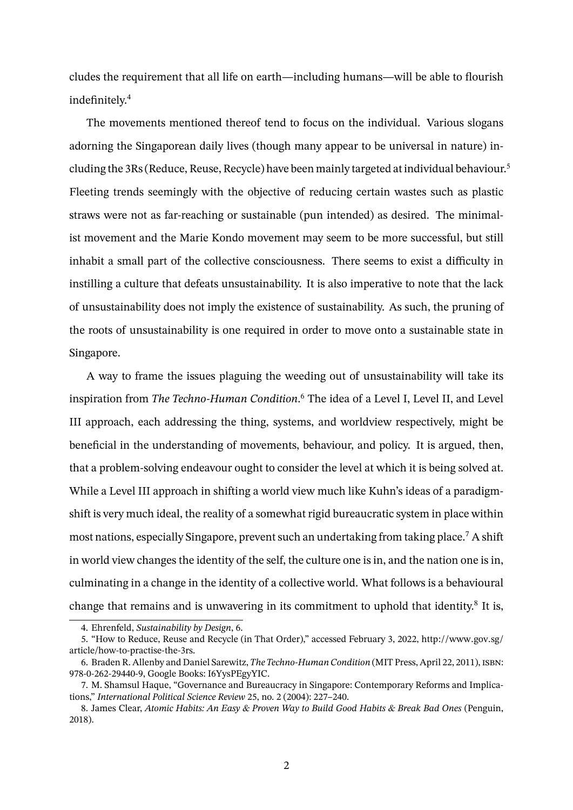cludes the requirement that all life on earth—including humans—will be able to flourish indefinitely.<sup>4</sup>

The movements mentioned thereof tend to focus on the individual. Various slogans adorning the Singaporean daily lives (though many appear to be universal in nature) including the 3Rs (Reduce, Reuse, Recycle) have been mainly targeted at individual behaviour.<sup>5</sup> Fleeting trends seemingly with the objective of reducing certain wastes such as plastic straws were not as far-reaching or sustainable (pun intended) as desired. The minimalist movement and the Marie Kondo movement may seem to be more successful, but still inhabit a small part of the collective consciousness. There seems to exist a difficulty in instilling a culture that defeats unsustainability. It is also imperative to note that the lack of unsustainability does not imply the existence of sustainability. As such, the pruning of the roots of unsustainability is one required in order to move onto a sustainable state in Singapore.

A way to frame the issues plaguing the weeding out of unsustainability will take its inspiration from *The Techno-Human Condition*. <sup>6</sup> The idea of a Level I, Level II, and Level III approach, each addressing the thing, systems, and worldview respectively, might be beneficial in the understanding of movements, behaviour, and policy. It is argued, then, that a problem-solving endeavour ought to consider the level at which it is being solved at. While a Level III approach in shifting a world view much like Kuhn's ideas of a paradigmshift is very much ideal, the reality of a somewhat rigid bureaucratic system in place within most nations, especially Singapore, prevent such an undertaking from taking place.<sup>7</sup> A shift in world view changes the identity of the self, the culture one is in, and the nation one is in, culminating in a change in the identity of a collective world. What follows is a behavioural change that remains and is unwavering in its commitment to uphold that identity.<sup>8</sup> It is,

<sup>4.</sup> Ehrenfeld, *Sustainability by Design*, 6.

<sup>5. &</sup>quot;How to Reduce, Reuse and Recycle (in That Order)," accessed February 3, 2022, http://www.gov.sg/ article/how-to-practise-the-3rs.

<sup>6.</sup> Braden R. Allenby and Daniel Sarewitz,*The Techno-Human Condition* (MIT Press, April 22, 2011), isbn: 978-0-262-29440-9, Google Books: I6YysPEgyYIC.

<sup>7.</sup> M. Shamsul Haque, "Governance and Bureaucracy in Singapore: Contemporary Reforms and Implications," *International Political Science Review* 25, no. 2 (2004): 227–240.

<sup>8.</sup> James Clear, *Atomic Habits: An Easy & Proven Way to Build Good Habits & Break Bad Ones* (Penguin, 2018).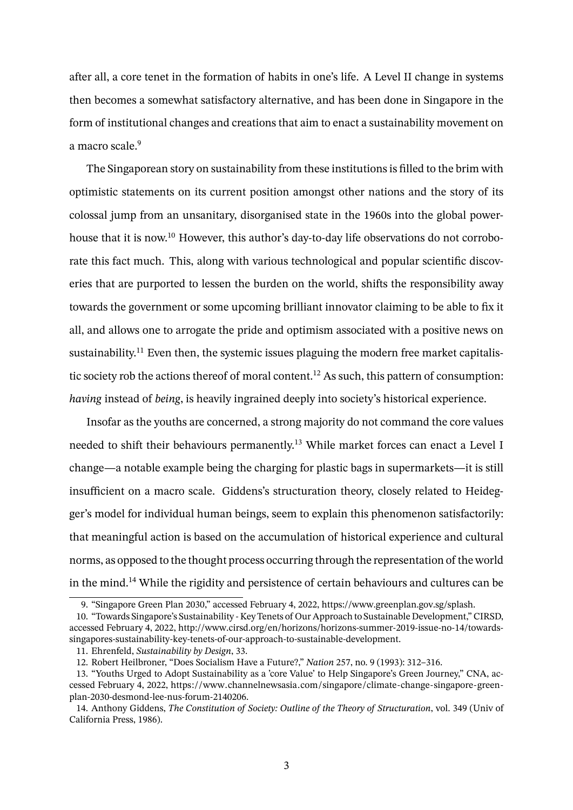after all, a core tenet in the formation of habits in one's life. A Level II change in systems then becomes a somewhat satisfactory alternative, and has been done in Singapore in the form of institutional changes and creations that aim to enact a sustainability movement on a macro scale.<sup>9</sup>

The Singaporean story on sustainability from these institutions is filled to the brim with optimistic statements on its current position amongst other nations and the story of its colossal jump from an unsanitary, disorganised state in the 1960s into the global powerhouse that it is now.<sup>10</sup> However, this author's day-to-day life observations do not corroborate this fact much. This, along with various technological and popular scientific discoveries that are purported to lessen the burden on the world, shifts the responsibility away towards the government or some upcoming brilliant innovator claiming to be able to fix it all, and allows one to arrogate the pride and optimism associated with a positive news on sustainability.<sup>11</sup> Even then, the systemic issues plaguing the modern free market capitalistic society rob the actions thereof of moral content.<sup>12</sup> As such, this pattern of consumption: *having* instead of *being*, is heavily ingrained deeply into society's historical experience.

Insofar as the youths are concerned, a strong majority do not command the core values needed to shift their behaviours permanently.<sup>13</sup> While market forces can enact a Level I change—a notable example being the charging for plastic bags in supermarkets—it is still insufficient on a macro scale. Giddens's structuration theory, closely related to Heidegger's model for individual human beings, seem to explain this phenomenon satisfactorily: that meaningful action is based on the accumulation of historical experience and cultural norms, as opposed to the thought process occurring through the representation of the world in the mind.<sup>14</sup> While the rigidity and persistence of certain behaviours and cultures can be

<sup>9. &</sup>quot;Singapore Green Plan 2030," accessed February 4, 2022, https://www.greenplan.gov.sg/splash.

<sup>10. &</sup>quot;Towards Singapore's Sustainability - Key Tenets of Our Approach to Sustainable Development," CIRSD, accessed February 4, 2022, http://www.cirsd.org/en/horizons/horizons-summer-2019-issue-no-14/towardssingapores-sustainability-key-tenets-of-our-approach-to-sustainable-development.

<sup>11.</sup> Ehrenfeld, *Sustainability by Design*, 33.

<sup>12.</sup> Robert Heilbroner, "Does Socialism Have a Future?," *Nation* 257, no. 9 (1993): 312–316.

<sup>13. &</sup>quot;Youths Urged to Adopt Sustainability as a 'core Value' to Help Singapore's Green Journey," CNA, accessed February 4, 2022, https://www.channelnewsasia.com/singapore/climate-change-singapore-greenplan-2030-desmond-lee-nus-forum-2140206.

<sup>14.</sup> Anthony Giddens, *The Constitution of Society: Outline of the Theory of Structuration*, vol. 349 (Univ of California Press, 1986).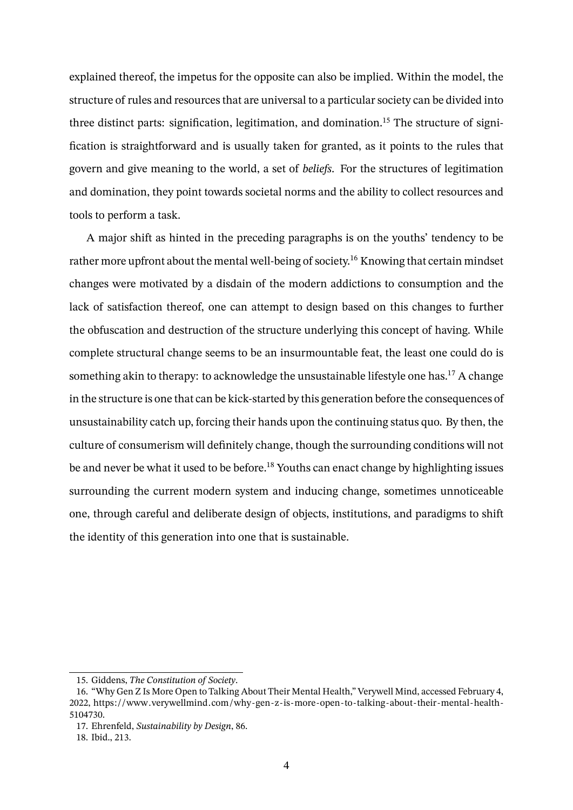explained thereof, the impetus for the opposite can also be implied. Within the model, the structure of rules and resources that are universal to a particular society can be divided into three distinct parts: signification, legitimation, and domination.<sup>15</sup> The structure of signification is straightforward and is usually taken for granted, as it points to the rules that govern and give meaning to the world, a set of *beliefs*. For the structures of legitimation and domination, they point towards societal norms and the ability to collect resources and tools to perform a task.

A major shift as hinted in the preceding paragraphs is on the youths' tendency to be rather more upfront about the mental well-being of society.<sup>16</sup> Knowing that certain mindset changes were motivated by a disdain of the modern addictions to consumption and the lack of satisfaction thereof, one can attempt to design based on this changes to further the obfuscation and destruction of the structure underlying this concept of having. While complete structural change seems to be an insurmountable feat, the least one could do is something akin to therapy: to acknowledge the unsustainable lifestyle one has.<sup>17</sup> A change in the structure is one that can be kick-started by this generation before the consequences of unsustainability catch up, forcing their hands upon the continuing status quo. By then, the culture of consumerism will definitely change, though the surrounding conditions will not be and never be what it used to be before.<sup>18</sup> Youths can enact change by highlighting issues surrounding the current modern system and inducing change, sometimes unnoticeable one, through careful and deliberate design of objects, institutions, and paradigms to shift the identity of this generation into one that is sustainable.

<sup>15.</sup> Giddens, *The Constitution of Society*.

<sup>16. &</sup>quot;Why Gen Z Is More Open to Talking About Their Mental Health," Verywell Mind, accessed February 4, 2022, https://www.verywellmind.com/why-gen-z-is-more-open-to-talking-about-their-mental-health-5104730.

<sup>17.</sup> Ehrenfeld, *Sustainability by Design*, 86.

<sup>18.</sup> Ibid., 213.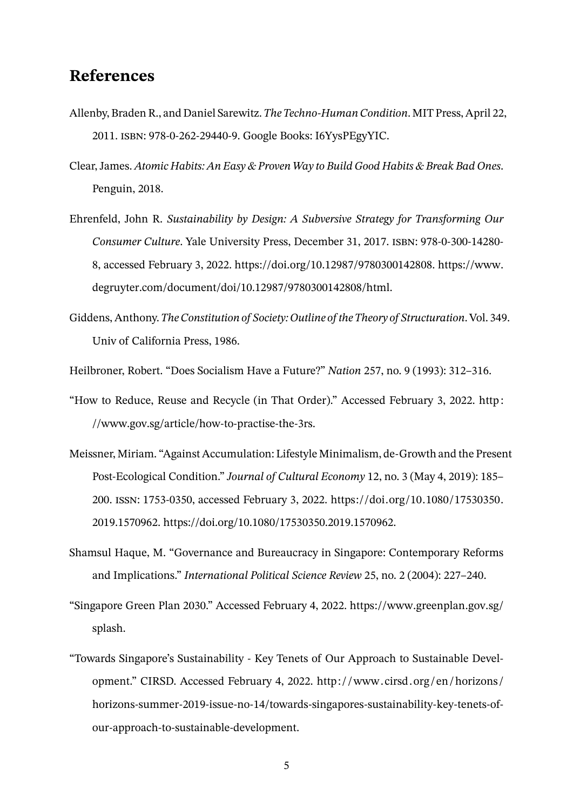## **References**

- Allenby, Braden R., and Daniel Sarewitz.*The Techno-Human Condition*. MIT Press, April 22, 2011. isbn: 978-0-262-29440-9. Google Books: I6YysPEgyYIC.
- Clear, James. *Atomic Habits: An Easy & Proven Way to Build Good Habits & Break Bad Ones*. Penguin, 2018.
- Ehrenfeld, John R. *Sustainability by Design: A Subversive Strategy for Transforming Our Consumer Culture*. Yale University Press, December 31, 2017. isbn: 978-0-300-14280- 8, accessed February 3, 2022. https://doi.org/10.12987/9780300142808. https://www. degruyter.com/document/doi/10.12987/9780300142808/html.
- Giddens, Anthony.*The Constitution of Society: Outline of the Theory of Structuration*. Vol. 349. Univ of California Press, 1986.

Heilbroner, Robert. "Does Socialism Have a Future?" *Nation* 257, no. 9 (1993): 312–316.

- "How to Reduce, Reuse and Recycle (in That Order)." Accessed February 3, 2022. http : //www.gov.sg/article/how-to-practise-the-3rs.
- Meissner, Miriam. "Against Accumulation: Lifestyle Minimalism, de-Growth and the Present Post-Ecological Condition." *Journal of Cultural Economy* 12, no. 3 (May 4, 2019): 185– 200. issn: 1753-0350, accessed February 3, 2022. https://doi.org/10.1080/17530350. 2019.1570962. https://doi.org/10.1080/17530350.2019.1570962.
- Shamsul Haque, M. "Governance and Bureaucracy in Singapore: Contemporary Reforms and Implications." *International Political Science Review* 25, no. 2 (2004): 227–240.
- "Singapore Green Plan 2030." Accessed February 4, 2022. https://www.greenplan.gov.sg/ splash.
- "Towards Singapore's Sustainability Key Tenets of Our Approach to Sustainable Development." CIRSD. Accessed February 4, 2022. http: / /www.cirsd. org /en /horizons / horizons-summer-2019-issue-no-14/towards-singapores-sustainability-key-tenets-ofour-approach-to-sustainable-development.